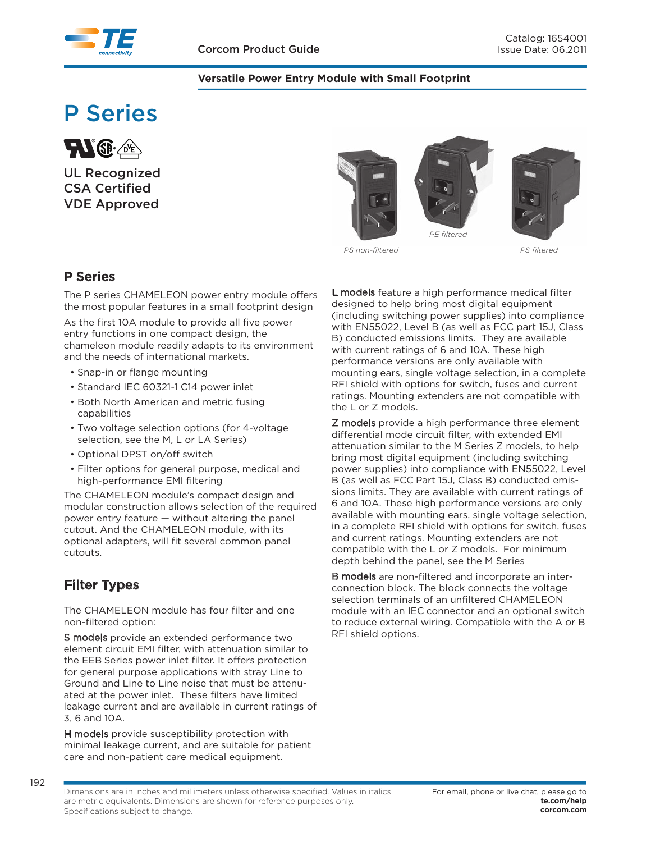

#### **Versatile Power Entry Module with Small Footprint**

# **P Series**



**UL Recognized CSA Certified VDE Approved**



*PS non-filtered*

*PS filtered*

## **P Series**

The P series CHAMELEON power entry module offers the most popular features in a small footprint design

As the first 10A module to provide all five power entry functions in one compact design, the chameleon module readily adapts to its environment and the needs of international markets.

- Snap-in or flange mounting
- Standard IEC 60321-1 C14 power inlet
- Both North American and metric fusing capabilities
- Two voltage selection options (for 4-voltage selection, see the M, L or LA Series)
- Optional DPST on/off switch
- Filter options for general purpose, medical and high-performance EMI filtering

The CHAMELEON module's compact design and modular construction allows selection of the required power entry feature — without altering the panel cutout. And the CHAMELEON module, with its optional adapters, will fit several common panel cutouts.

## **Filter Types**

The CHAMELEON module has four filter and one non-filtered option:

S models provide an extended performance two element circuit EMI filter, with attenuation similar to the EEB Series power inlet filter. It offers protection for general purpose applications with stray Line to Ground and Line to Line noise that must be attenuated at the power inlet. These filters have limited leakage current and are available in current ratings of 3, 6 and 10A.

H models provide susceptibility protection with minimal leakage current, and are suitable for patient care and non-patient care medical equipment.

L models feature a high performance medical filter designed to help bring most digital equipment (including switching power supplies) into compliance with EN55022, Level B (as well as FCC part 15J, Class B) conducted emissions limits. They are available with current ratings of 6 and 10A. These high performance versions are only available with mounting ears, single voltage selection, in a complete RFI shield with options for switch, fuses and current ratings. Mounting extenders are not compatible with the L or Z models.

**Z** models provide a high performance three element differential mode circuit filter, with extended EMI attenuation similar to the M Series Z models, to help bring most digital equipment (including switching power supplies) into compliance with EN55022, Level B (as well as FCC Part 15J, Class B) conducted emissions limits. They are available with current ratings of 6 and 10A. These high performance versions are only available with mounting ears, single voltage selection, in a complete RFI shield with options for switch, fuses and current ratings. Mounting extenders are not compatible with the L or Z models. For minimum depth behind the panel, see the M Series

B models are non-filtered and incorporate an interconnection block. The block connects the voltage selection terminals of an unfiltered CHAMELEON module with an IEC connector and an optional switch to reduce external wiring. Compatible with the A or B RFI shield options.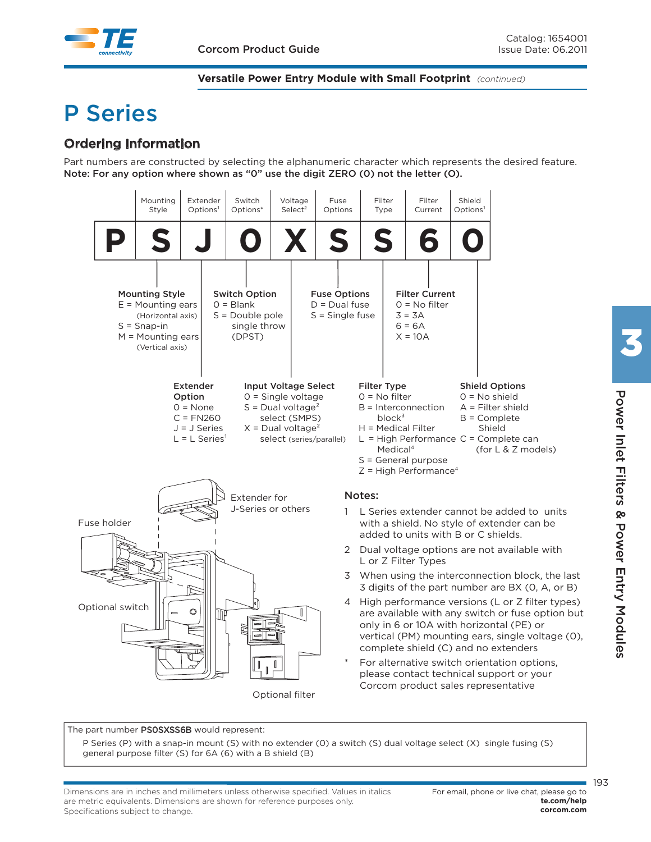

# **P Series**

## **Ordering Information**

Part numbers are constructed by selecting the alphanumeric character which represents the desired feature. **Note: For any option where shown as "0" use the digit ZERO (0) not the letter (O).**



The part number PS0SXSS6B would represent:

P Series (P) with a snap-in mount (S) with no extender (0) a switch (S) dual voltage select (X) single fusing (S) general purpose filter (S) for 6A (6) with a B shield (B)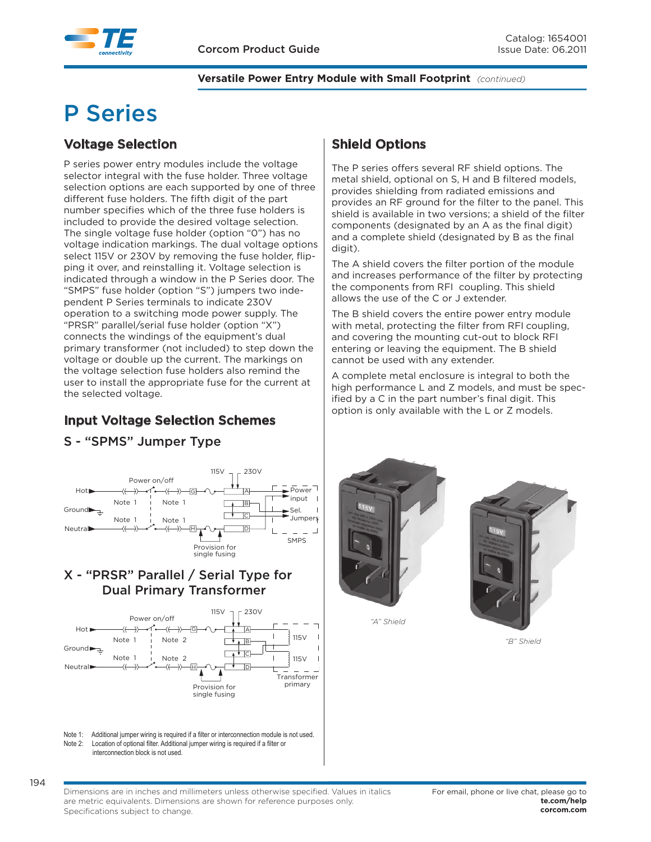

# **P Series**

## **Voltage Selection**

P series power entry modules include the voltage selector integral with the fuse holder. Three voltage selection options are each supported by one of three different fuse holders. The fifth digit of the part number specifies which of the three fuse holders is included to provide the desired voltage selection. The single voltage fuse holder (option "0") has no voltage indication markings. The dual voltage options select 115V or 230V by removing the fuse holder, flipping it over, and reinstalling it. Voltage selection is indicated through a window in the P Series door. The "SMPS" fuse holder (option "S") jumpers two independent P Series terminals to indicate 230V operation to a switching mode power supply. The "PRSR" parallel/serial fuse holder (option "X") connects the windings of the equipment's dual primary transformer (not included) to step down the voltage or double up the current. The markings on the voltage selection fuse holders also remind the user to install the appropriate fuse for the current at the selected voltage.

## **Input Voltage Selection Schemes**

## **S - "SPMS" Jumper Type**



## **X - "PRSR" Parallel / Serial Type for Dual Primary Transformer**



Note 2: Location of optional filter. Additional jumper wiring is required if a filter or interconnection block is not used

## **Shield Options**

The P series offers several RF shield options. The metal shield, optional on S, H and B filtered models, provides shielding from radiated emissions and provides an RF ground for the filter to the panel. This shield is available in two versions; a shield of the filter components (designated by an A as the final digit) and a complete shield (designated by B as the final digit).

The A shield covers the filter portion of the module and increases performance of the filter by protecting the components from RFI coupling. This shield allows the use of the C or J extender.

The B shield covers the entire power entry module with metal, protecting the filter from RFI coupling, and covering the mounting cut-out to block RFI entering or leaving the equipment. The B shield cannot be used with any extender.

A complete metal enclosure is integral to both the high performance L and Z models, and must be specified by a C in the part number's final digit. This option is only available with the L or Z models.



*"A" Shield*

*"B" Shield*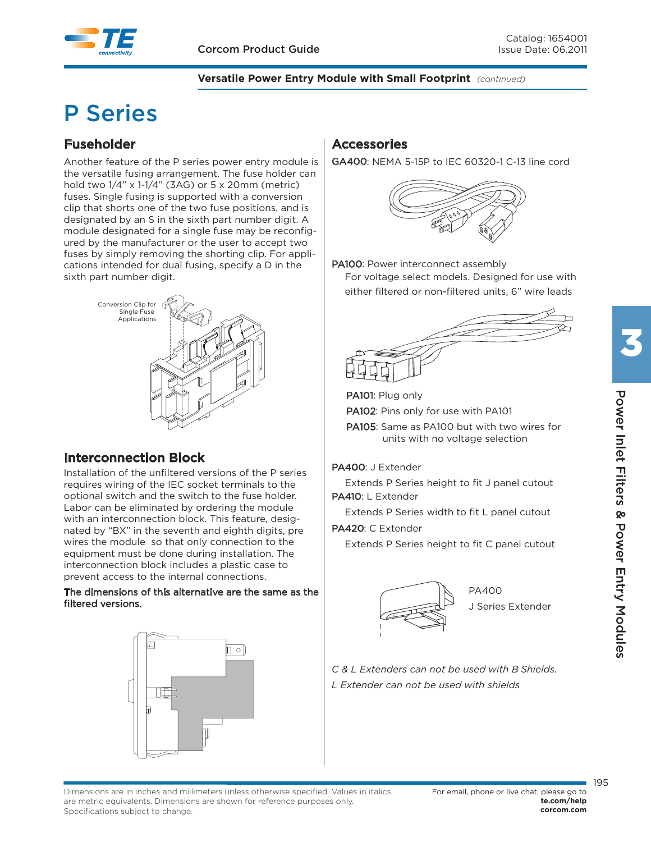

# **P Series**

## **Fuseholder**

Another feature of the P series power entry module is the versatile fusing arrangement. The fuse holder can hold two 1/4" x 1-1/4" (3AG) or 5 x 20mm (metric) fuses. Single fusing is supported with a conversion clip that shorts one of the two fuse positions, and is designated by an S in the sixth part number digit. A module designated for a single fuse may be reconfigured by the manufacturer or the user to accept two fuses by simply removing the shorting clip. For applications intended for dual fusing, specify a D in the sixth part number digit.



## **Interconnection Block**

Installation of the unfiltered versions of the P series requires wiring of the IEC socket terminals to the optional switch and the switch to the fuse holder. Labor can be eliminated by ordering the module with an interconnection block. This feature, designated by "BX" in the seventh and eighth digits, pre wires the module so that only connection to the equipment must be done during installation. The interconnection block includes a plastic case to prevent access to the internal connections.

#### The dimensions of this alternative are the same as the filtered versions.



## **Accessories**

GA400: NEMA 5-15P to IEC 60320-1 C-13 line cord



PA100: Power interconnect assembly For voltage select models. Designed for use with either filtered or non-filtered units, 6" wire leads



PA101: Plug only

PA102: Pins only for use with PA101

PA105: Same as PA100 but with two wires for units with no voltage selection

### PA400: J Extender

 Extends P Series height to fit J panel cutout PA410: L Extender

Extends P Series width to fit L panel cutout

#### PA420: C Extender

Optional switch

Fuse holder

Extends P Series height to fit C panel cutout



J Series Extender PA400

*C & L Extenders can not be used with B Shields. L Extender can not be used with shields*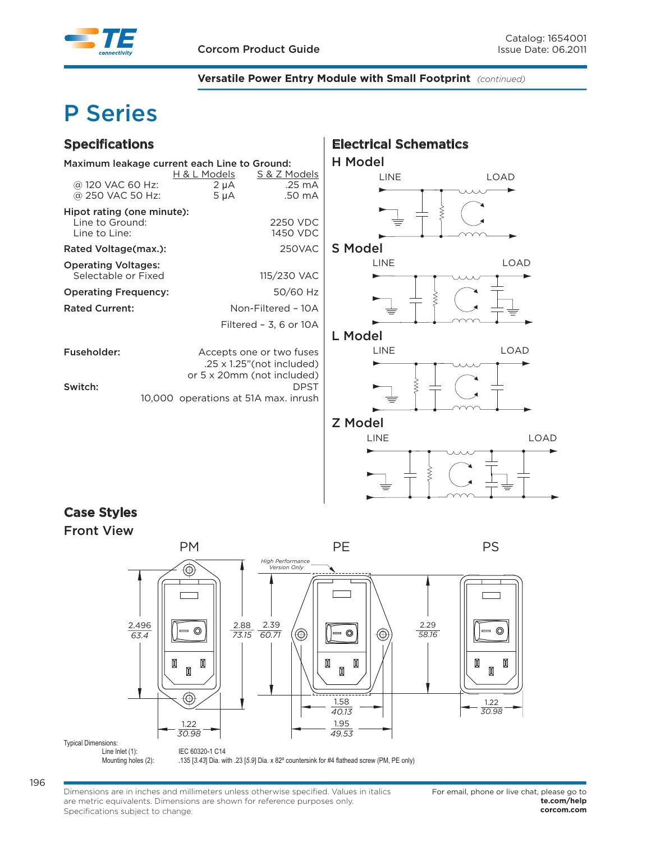

# **P Series**

| <b>Specifications</b>                                          |                                        |                                                                                                                                                    | <b>Electrical Schematics</b> |             |  |  |  |  |  |  |
|----------------------------------------------------------------|----------------------------------------|----------------------------------------------------------------------------------------------------------------------------------------------------|------------------------------|-------------|--|--|--|--|--|--|
| Maximum leakage current each Line to Ground:                   |                                        | <b>H</b> Model                                                                                                                                     |                              |             |  |  |  |  |  |  |
| @ 120 VAC 60 Hz:<br>@ 250 VAC 50 Hz:                           | H & L Models<br>$2 \mu A$<br>$5 \mu A$ | S & Z Models<br>$.25 \text{ mA}$<br>.50 mA                                                                                                         | <b>LINE</b>                  | <b>LOAD</b> |  |  |  |  |  |  |
| Hipot rating (one minute):<br>Line to Ground:<br>Line to Line: |                                        | 2250 VDC<br>1450 VDC                                                                                                                               |                              |             |  |  |  |  |  |  |
| Rated Voltage(max.):                                           |                                        | 250VAC                                                                                                                                             | <b>S Model</b>               |             |  |  |  |  |  |  |
| <b>Operating Voltages:</b><br>Selectable or Fixed              |                                        | 115/230 VAC                                                                                                                                        | <b>LINE</b>                  | <b>LOAD</b> |  |  |  |  |  |  |
| <b>Operating Frequency:</b>                                    |                                        | 50/60 Hz                                                                                                                                           |                              |             |  |  |  |  |  |  |
| <b>Rated Current:</b>                                          |                                        | Non-Filtered - 10A                                                                                                                                 |                              |             |  |  |  |  |  |  |
|                                                                |                                        | Filtered - 3, 6 or 10A                                                                                                                             | <b>L</b> Model               |             |  |  |  |  |  |  |
| Fuseholder:<br>Switch:                                         |                                        | Accepts one or two fuses<br>$.25 \times 1.25$ "(not included)<br>or 5 x 20mm (not included)<br><b>DPST</b><br>10,000 operations at 51A max. inrush | LINE                         | <b>LOAD</b> |  |  |  |  |  |  |
|                                                                |                                        |                                                                                                                                                    | <b>Z</b> Model<br>LINE       | <b>LOAD</b> |  |  |  |  |  |  |
|                                                                |                                        |                                                                                                                                                    |                              |             |  |  |  |  |  |  |
|                                                                |                                        |                                                                                                                                                    |                              |             |  |  |  |  |  |  |

## **Case Styles**



196

Dimensions are in inches and millimeters unless otherwise specified. Values in italics are metric equivalents. Dimensions are shown for reference purposes only. Specifications subject to change.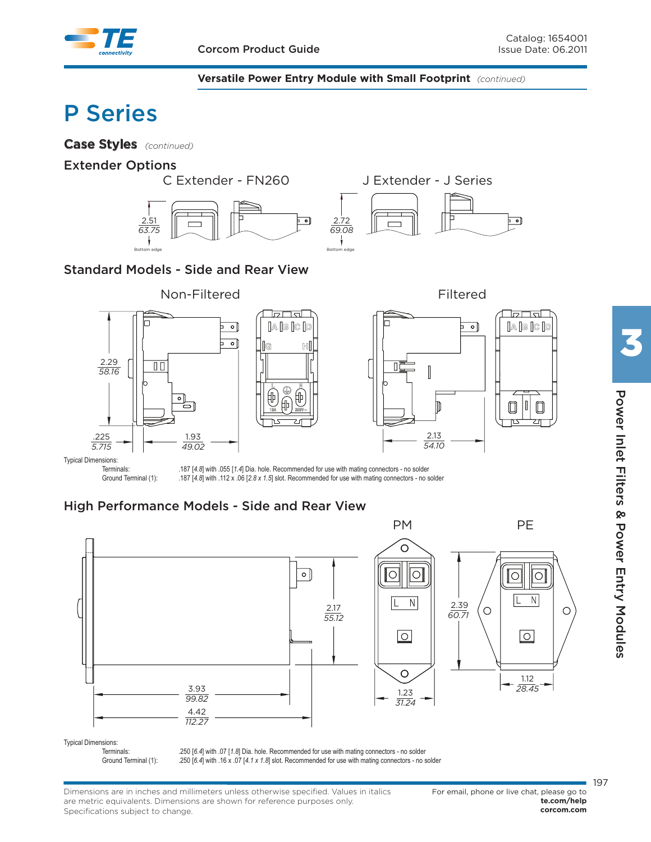# **P Series**

**Case Styles** *(continued)*

### **Extender Options**



### **Standard Models - Side and Rear View**



## **High Performance Models - Side and Rear View**



Terminals: . . .250 [6.4] with .07 [1.8] Dia. hole. Recommended for use with mating connectors - no solder<br>Ground Terminal (1): . . .250 [6.4] with .16 x .07 [4.1 x 1.8] slot. Recommended for use with mating connectors - n .250 [6.4] with .16 x .07 [4.1 x 1.8] slot. Recommended for use with mating connectors - no solder

Dimensions are in inches and millimeters unless otherwise specified. Values in italics are metric equivalents. Dimensions are shown for reference purposes only. Specifications subject to change.

**3**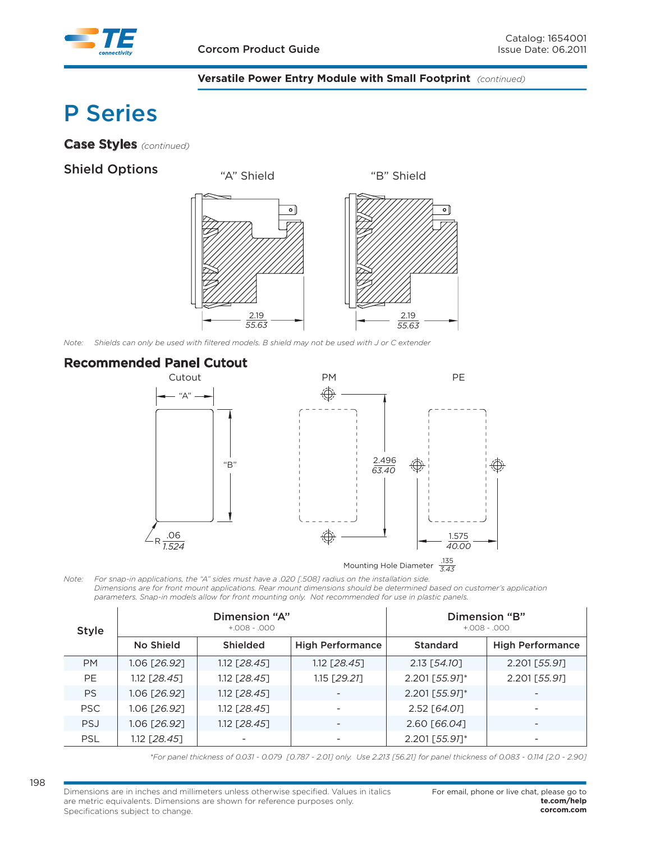

# **P Series**

**Case Styles** *(continued)*

**Shield Options**



*Note: Shields can only be used with filtered models. B shield may not be used with J or C extender*

### **Recommended Panel Cutout**



.135 *3.43* Mounting Hole Diameter

*Note: For snap-in applications, the "A" sides must have a .020 [.508] radius on the installation side. Dimensions are for front mount applications. Rear mount dimensions should be determined based on customer's application parameters. Snap-in models allow for front mounting only. Not recommended for use in plastic panels.*

| <b>Style</b> |              | Dimension "A"<br>$+008 - 000$ | Dimension "B"<br>$+008 - 000$ |                |                          |  |  |  |
|--------------|--------------|-------------------------------|-------------------------------|----------------|--------------------------|--|--|--|
|              | No Shield    | <b>Shielded</b>               | <b>High Performance</b>       | Standard       | <b>High Performance</b>  |  |  |  |
| <b>PM</b>    | 1.06 [26.92] | 1.12 [28.45]                  | 1.12 $[28.45]$                | 2.13 [54.10]   | 2.201 [55.91]            |  |  |  |
| PE           | 1.12 [28.45] | 1.12 [28.45]                  | 1.15 [29.21]                  | 2.201 [55.91]* | 2.201 [55.91]            |  |  |  |
| <b>PS</b>    | 1.06 [26.92] | 1.12 [28.45]                  |                               | 2.201 [55.91]* |                          |  |  |  |
| PSC          | 1.06 [26.92] | 1.12 $[28.45]$                | $\overline{\phantom{0}}$      | 2.52 [64.01]   | $\overline{\phantom{0}}$ |  |  |  |
| <b>PSJ</b>   | 1.06 [26.92] | 1.12 [28.45]                  |                               | 2.60 [66.04]   |                          |  |  |  |
| <b>PSL</b>   | 1.12 [28.45] |                               |                               | 2.201 [55.91]* |                          |  |  |  |

*\*For panel thickness of 0.031 - 0.079 [0.787 - 2.01] only. Use 2.213 [56.21] for panel thickness of 0.083 - 0.114 [2.0 - 2.90]*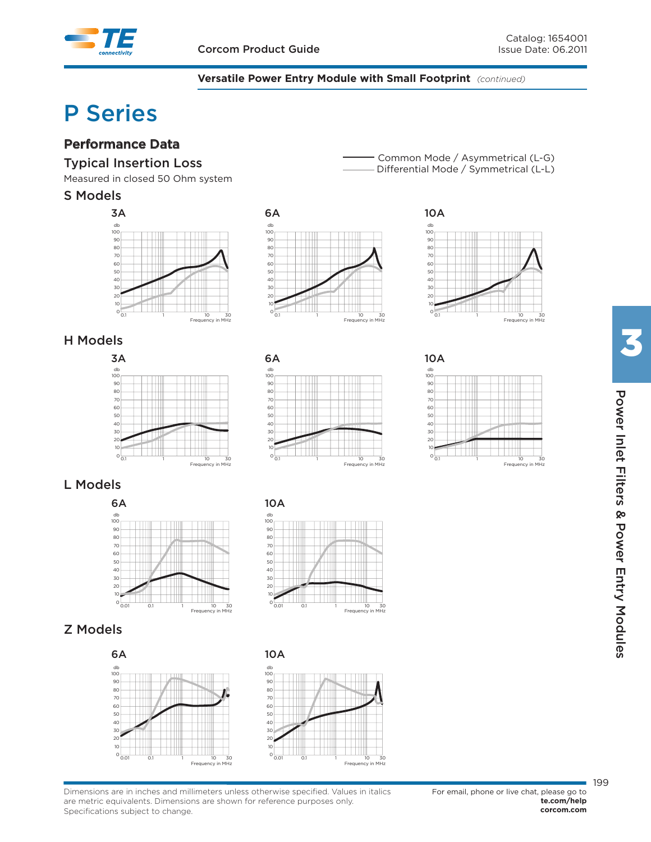

#### **Versatile Power Entry Module with Small Footprint** *(continued)*

## **P Series**

## **Performance Data**

### **Typical Insertion Loss**

Measured in closed 50 Ohm system

### **S Models**



## **H Models**



## **L Models**



## **Z Models**





Common Mode / Asymmetrical (L-G) Differential Mode / Symmetrical (L-L)







**Power liters & Power Enters Modules Power Inlet Filters & Power Entry Modules**



 $0 \overline{0.01}$  0.1 1 10 30

Frequency in MHz